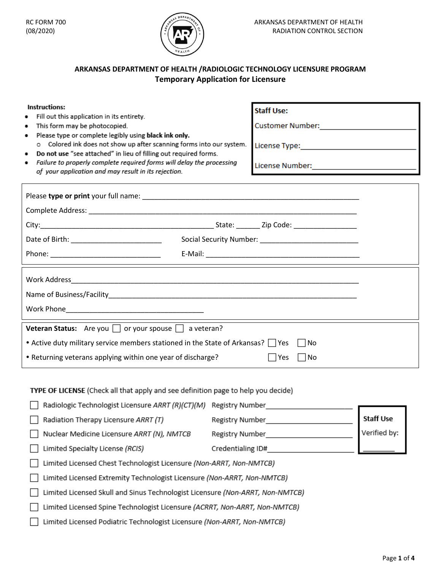

# **ARKANSAS DEPARTMENT OF HEALTH /RADIOLOGIC TECHNOLOGY LICENSURE PROGRAM Temporary Application for Licensure**

| Instructions:<br>Fill out this application in its entirety.<br>This form may be photocopied.<br>٠<br>Please type or complete legibly using black ink only.<br>٠<br>o Colored ink does not show up after scanning forms into our system.<br>Do not use "see attached" in lieu of filling out required forms.<br>٠<br>Failure to properly complete required forms will delay the processing<br>٠<br>of your application and may result in its rejection. | <b>Staff Use:</b><br>Customer Number: ____________________________<br>License Type: ________________________________<br>License Number: ______________________________                                                         |  |
|--------------------------------------------------------------------------------------------------------------------------------------------------------------------------------------------------------------------------------------------------------------------------------------------------------------------------------------------------------------------------------------------------------------------------------------------------------|--------------------------------------------------------------------------------------------------------------------------------------------------------------------------------------------------------------------------------|--|
|                                                                                                                                                                                                                                                                                                                                                                                                                                                        |                                                                                                                                                                                                                                |  |
|                                                                                                                                                                                                                                                                                                                                                                                                                                                        |                                                                                                                                                                                                                                |  |
|                                                                                                                                                                                                                                                                                                                                                                                                                                                        |                                                                                                                                                                                                                                |  |
|                                                                                                                                                                                                                                                                                                                                                                                                                                                        |                                                                                                                                                                                                                                |  |
|                                                                                                                                                                                                                                                                                                                                                                                                                                                        | E-Mail: E-Mail: E-Mail: E-Mail: E-Mail: E-Mail: E-Mail: E-Mail: E-Mail: E-Mail: E-Mail: E-Mail: E-Mail: E-Mail: E-Mail: E-Mail: E-Mail: E-Mail: E-Mail: E-Mail: E-Mail: E-Mail: E-Mail: E-Mail: E-Mail: E-Mail: E-Mail: E-Mail |  |
|                                                                                                                                                                                                                                                                                                                                                                                                                                                        |                                                                                                                                                                                                                                |  |
| Veteran Status: Are you $\Box$ or your spouse $\Box$ a veteran?                                                                                                                                                                                                                                                                                                                                                                                        |                                                                                                                                                                                                                                |  |
| • Active duty military service members stationed in the State of Arkansas? $\Box$ Yes<br>l INo                                                                                                                                                                                                                                                                                                                                                         |                                                                                                                                                                                                                                |  |
| • Returning veterans applying within one year of discharge?<br>$\Box$ Yes<br>$\Box$ No                                                                                                                                                                                                                                                                                                                                                                 |                                                                                                                                                                                                                                |  |
| TYPE OF LICENSE (Check all that apply and see definition page to help you decide)<br>Radiologic Technologist Licensure ARRT (R)(CT)(M) Registry Number<br><b>Staff Use</b><br>Radiation Therapy Licensure ARRT (T)<br>Registry Number <b>Exercise Services</b>                                                                                                                                                                                         |                                                                                                                                                                                                                                |  |

Verified by: Nuclear Medicine Licensure ARRT (N), NMTCB Registry Number Limited Specialty License (RCIS) Credentialing ID#

□ Limited Licensed Chest Technologist Licensure (Non-ARRT, Non-NMTCB)

□ Limited Licensed Extremity Technologist Licensure (Non-ARRT, Non-NMTCB)

[ Limited Licensed Skull and Sinus Technologist Licensure (Non-ARRT, Non-NMTCB)

□ Limited Licensed Spine Technologist Licensure (ACRRT, Non-ARRT, Non-NMTCB)

[ Limited Licensed Podiatric Technologist Licensure (Non-ARRT, Non-NMTCB)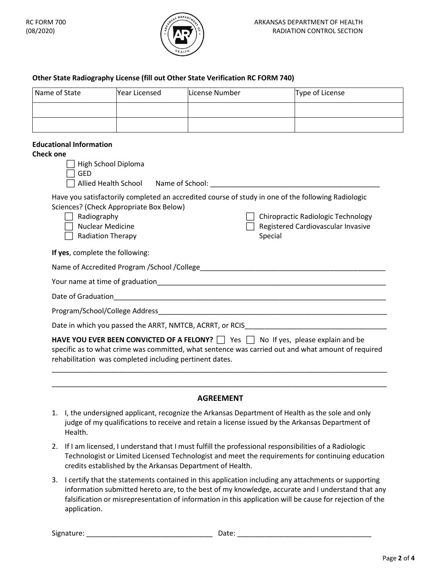

### **Other State Radiography License (fill out Other State Verification RC FORM 740)**

| Name of State | <b>Year Licensed</b> | License Number | Type of License |
|---------------|----------------------|----------------|-----------------|
|               |                      |                |                 |
|               |                      |                |                 |

#### **Educational Information**

### **Check one**

| High School Diploma<br><b>GED</b><br>Allied Health School Name of School: Name of School:                                                                                                                                                                                                                  |  |  |  |
|------------------------------------------------------------------------------------------------------------------------------------------------------------------------------------------------------------------------------------------------------------------------------------------------------------|--|--|--|
| Have you satisfactorily completed an accredited course of study in one of the following Radiologic<br>Sciences? (Check Appropriate Box Below)<br>Radiography<br>Chiropractic Radiologic Technology<br><b>Nuclear Medicine</b><br>Registered Cardiovascular Invasive<br><b>Radiation Therapy</b><br>Special |  |  |  |
| If yes, complete the following:                                                                                                                                                                                                                                                                            |  |  |  |
|                                                                                                                                                                                                                                                                                                            |  |  |  |
|                                                                                                                                                                                                                                                                                                            |  |  |  |
| Date of Graduation                                                                                                                                                                                                                                                                                         |  |  |  |
|                                                                                                                                                                                                                                                                                                            |  |  |  |
| Date in which you passed the ARRT, NMTCB, ACRRT, or RCIS                                                                                                                                                                                                                                                   |  |  |  |
| <b>HAVE YOU EVER BEEN CONVICTED OF A FELONY?</b> $\Box$ Yes $\Box$ No If yes, please explain and be<br>specific as to what crime was committed, what sentence was carried out and what amount of required<br>rehabilitation was completed including pertinent dates.                                       |  |  |  |

### **AGREEMENT**

\_\_\_\_\_\_\_\_\_\_\_\_\_\_\_\_\_\_\_\_\_\_\_\_\_\_\_\_\_\_\_\_\_\_\_\_\_\_\_\_\_\_\_\_\_\_\_\_\_\_\_\_\_\_\_\_\_\_\_\_\_\_\_\_\_\_\_\_\_\_\_\_\_\_\_\_\_\_\_\_\_\_\_\_\_

- 1. I, the undersigned applicant, recognize the Arkansas Department of Health as the sole and only judge of my qualifications to receive and retain a license issued by the Arkansas Department of Health.
- 2. If I am licensed, I understand that I must fulfill the professional responsibilities of a Radiologic Technologist or Limited Licensed Technologist and meet the requirements for continuing education credits established by the Arkansas Department of Health.
- 3. I certify that the statements contained in this application including any attachments or supporting information submitted hereto are, to the best of my knowledge, accurate and I understand that any falsification or misrepresentation of information in this application will be cause for rejection of the application.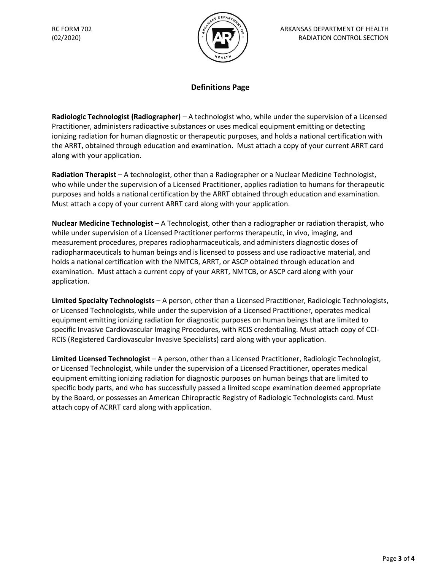

## **Definitions Page**

**Radiologic Technologist (Radiographer)** – A technologist who, while under the supervision of a Licensed Practitioner, administers radioactive substances or uses medical equipment emitting or detecting ionizing radiation for human diagnostic or therapeutic purposes, and holds a national certification with the ARRT, obtained through education and examination. Must attach a copy of your current ARRT card along with your application.

**Radiation Therapist** – A technologist, other than a Radiographer or a Nuclear Medicine Technologist, who while under the supervision of a Licensed Practitioner, applies radiation to humans for therapeutic purposes and holds a national certification by the ARRT obtained through education and examination. Must attach a copy of your current ARRT card along with your application.

**Nuclear Medicine Technologist** – A Technologist, other than a radiographer or radiation therapist, who while under supervision of a Licensed Practitioner performs therapeutic, in vivo, imaging, and measurement procedures, prepares radiopharmaceuticals, and administers diagnostic doses of radiopharmaceuticals to human beings and is licensed to possess and use radioactive material, and holds a national certification with the NMTCB, ARRT, or ASCP obtained through education and examination. Must attach a current copy of your ARRT, NMTCB, or ASCP card along with your application.

**Limited Specialty Technologists** – A person, other than a Licensed Practitioner, Radiologic Technologists, or Licensed Technologists, while under the supervision of a Licensed Practitioner, operates medical equipment emitting ionizing radiation for diagnostic purposes on human beings that are limited to specific Invasive Cardiovascular Imaging Procedures, with RCIS credentialing. Must attach copy of CCI-RCIS (Registered Cardiovascular Invasive Specialists) card along with your application.

**Limited Licensed Technologist** – A person, other than a Licensed Practitioner, Radiologic Technologist, or Licensed Technologist, while under the supervision of a Licensed Practitioner, operates medical equipment emitting ionizing radiation for diagnostic purposes on human beings that are limited to specific body parts, and who has successfully passed a limited scope examination deemed appropriate by the Board, or possesses an American Chiropractic Registry of Radiologic Technologists card. Must attach copy of ACRRT card along with application.